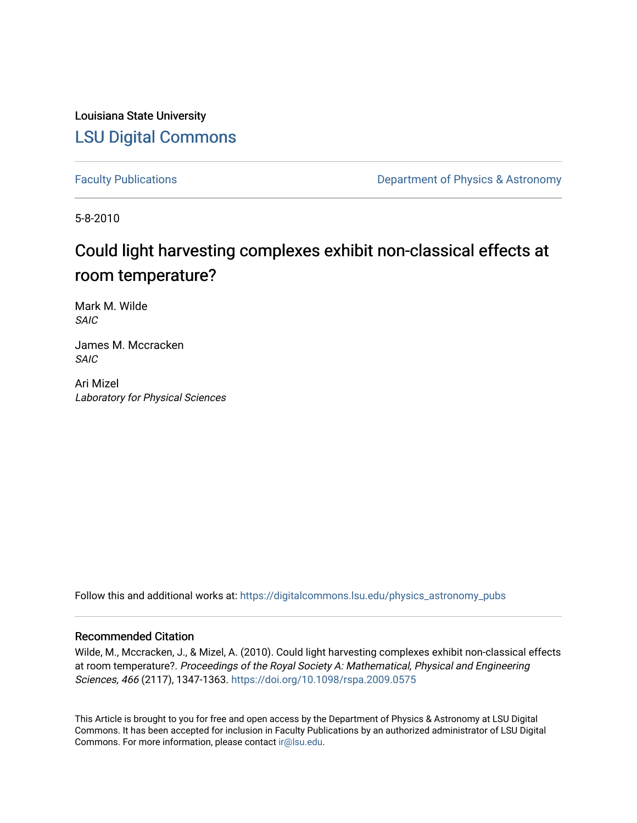Louisiana State University [LSU Digital Commons](https://digitalcommons.lsu.edu/)

[Faculty Publications](https://digitalcommons.lsu.edu/physics_astronomy_pubs) **Exercise 2 and Table 2 and Table 2 and Table 2 and Table 2 and Table 2 and Table 2 and Table 2 and Table 2 and Table 2 and Table 2 and Table 2 and Table 2 and Table 2 and Table 2 and Table 2 and Table** 

5-8-2010

# Could light harvesting complexes exhibit non-classical effects at room temperature?

Mark M. Wilde SAIC

James M. Mccracken SAIC

Ari Mizel Laboratory for Physical Sciences

Follow this and additional works at: [https://digitalcommons.lsu.edu/physics\\_astronomy\\_pubs](https://digitalcommons.lsu.edu/physics_astronomy_pubs?utm_source=digitalcommons.lsu.edu%2Fphysics_astronomy_pubs%2F5763&utm_medium=PDF&utm_campaign=PDFCoverPages) 

# Recommended Citation

Wilde, M., Mccracken, J., & Mizel, A. (2010). Could light harvesting complexes exhibit non-classical effects at room temperature?. Proceedings of the Royal Society A: Mathematical, Physical and Engineering Sciences, 466 (2117), 1347-1363.<https://doi.org/10.1098/rspa.2009.0575>

This Article is brought to you for free and open access by the Department of Physics & Astronomy at LSU Digital Commons. It has been accepted for inclusion in Faculty Publications by an authorized administrator of LSU Digital Commons. For more information, please contact [ir@lsu.edu](mailto:ir@lsu.edu).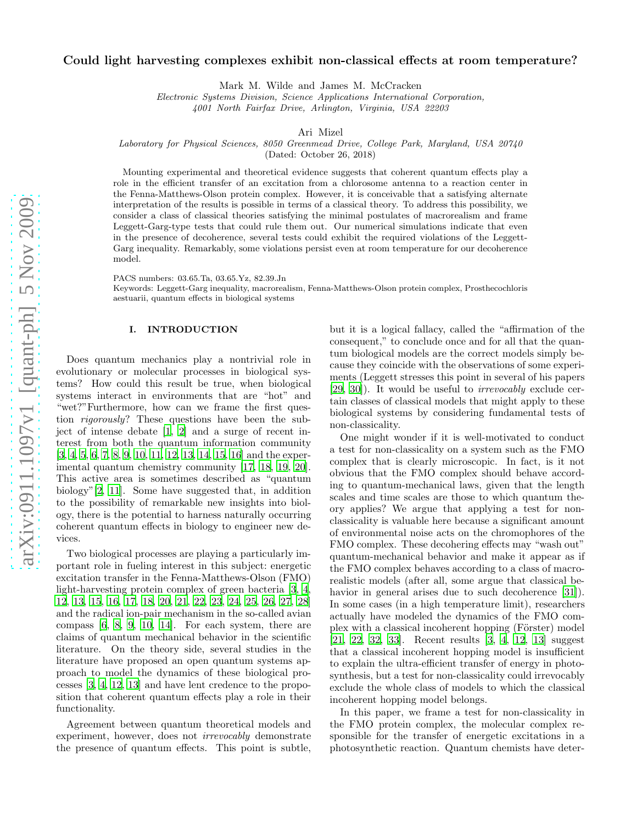## Could light harvesting complexes exhibit non-classical effects at room temperature?

Mark M. Wilde and James M. McCracken

*Electronic Systems Division, Science Applications International Corporation,*

*4001 North Fairfax Drive, Arlington, Virginia, USA 22203*

Ari Mizel

*Laboratory for Physical Sciences, 8050 Greenmead Drive, College Park, Maryland, USA 20740*

(Dated: October 26, 2018)

Mounting experimental and theoretical evidence suggests that coherent quantum effects play a role in the efficient transfer of an excitation from a chlorosome antenna to a reaction center in the Fenna-Matthews-Olson protein complex. However, it is conceivable that a satisfying alternate interpretation of the results is possible in terms of a classical theory. To address this possibility, we consider a class of classical theories satisfying the minimal postulates of macrorealism and frame Leggett-Garg-type tests that could rule them out. Our numerical simulations indicate that even in the presence of decoherence, several tests could exhibit the required violations of the Leggett-Garg inequality. Remarkably, some violations persist even at room temperature for our decoherence model.

PACS numbers: 03.65.Ta, 03.65.Yz, 82.39.Jn

Keywords: Leggett-Garg inequality, macrorealism, Fenna-Matthews-Olson protein complex, Prosthecochloris aestuarii, quantum effects in biological systems

# I. INTRODUCTION

Does quantum mechanics play a nontrivial role in evolutionary or molecular processes in biological systems? How could this result be true, when biological systems interact in environments that are "hot" and "wet?"Furthermore, how can we frame the first question rigorously? These questions have been the subject of intense debate [\[1](#page-8-0), [2](#page-8-1)] and a surge of recent interest from both the quantum information community [\[3,](#page-8-2) [4](#page-8-3), [5,](#page-8-4) [6,](#page-8-5) [7](#page-8-6), [8,](#page-8-7) [9](#page-8-8), [10,](#page-8-9) [11,](#page-8-10) [12](#page-8-11), [13,](#page-8-12) [14](#page-9-0), [15,](#page-9-1) [16\]](#page-9-2) and the experimental quantum chemistry community [\[17,](#page-9-3) [18](#page-9-4), [19,](#page-9-5) [20\]](#page-9-6). This active area is sometimes described as "quantum biology"[\[2](#page-8-1), [11](#page-8-10)]. Some have suggested that, in addition to the possibility of remarkable new insights into biology, there is the potential to harness naturally occurring coherent quantum effects in biology to engineer new devices.

Two biological processes are playing a particularly important role in fueling interest in this subject: energetic excitation transfer in the Fenna-Matthews-Olson (FMO) light-harvesting protein complex of green bacteria [\[3,](#page-8-2) [4](#page-8-3), [12,](#page-8-11) [13,](#page-8-12) [15](#page-9-1), [16,](#page-9-2) [17](#page-9-3), [18,](#page-9-4) [20,](#page-9-6) [21](#page-9-7), [22,](#page-9-8) [23](#page-9-9), [24,](#page-9-10) [25,](#page-9-11) [26](#page-9-12), [27,](#page-9-13) [28](#page-9-14)] and the radical ion-pair mechanism in the so-called avian compass [\[6,](#page-8-5) [8](#page-8-7), [9](#page-8-8), [10](#page-8-9), [14\]](#page-9-0). For each system, there are claims of quantum mechanical behavior in the scientific literature. On the theory side, several studies in the literature have proposed an open quantum systems approach to model the dynamics of these biological processes [\[3](#page-8-2), [4](#page-8-3), [12](#page-8-11), [13](#page-8-12)] and have lent credence to the proposition that coherent quantum effects play a role in their functionality.

Agreement between quantum theoretical models and experiment, however, does not irrevocably demonstrate the presence of quantum effects. This point is subtle,

but it is a logical fallacy, called the "affirmation of the consequent," to conclude once and for all that the quantum biological models are the correct models simply because they coincide with the observations of some experiments (Leggett stresses this point in several of his papers [\[29,](#page-9-15) [30\]](#page-9-16)). It would be useful to irrevocably exclude certain classes of classical models that might apply to these biological systems by considering fundamental tests of non-classicality.

One might wonder if it is well-motivated to conduct a test for non-classicality on a system such as the FMO complex that is clearly microscopic. In fact, is it not obvious that the FMO complex should behave according to quantum-mechanical laws, given that the length scales and time scales are those to which quantum theory applies? We argue that applying a test for nonclassicality is valuable here because a significant amount of environmental noise acts on the chromophores of the FMO complex. These decohering effects may "wash out" quantum-mechanical behavior and make it appear as if the FMO complex behaves according to a class of macrorealistic models (after all, some argue that classical be-havior in general arises due to such decoherence [\[31\]](#page-9-17)). In some cases (in a high temperature limit), researchers actually have modeled the dynamics of the FMO complex with a classical incoherent hopping (Förster) model [\[21,](#page-9-7) [22,](#page-9-8) [32,](#page-9-18) [33\]](#page-9-19). Recent results [\[3,](#page-8-2) [4,](#page-8-3) [12,](#page-8-11) [13\]](#page-8-12) suggest that a classical incoherent hopping model is insufficient to explain the ultra-efficient transfer of energy in photosynthesis, but a test for non-classicality could irrevocably exclude the whole class of models to which the classical incoherent hopping model belongs.

In this paper, we frame a test for non-classicality in the FMO protein complex, the molecular complex responsible for the transfer of energetic excitations in a photosynthetic reaction. Quantum chemists have deter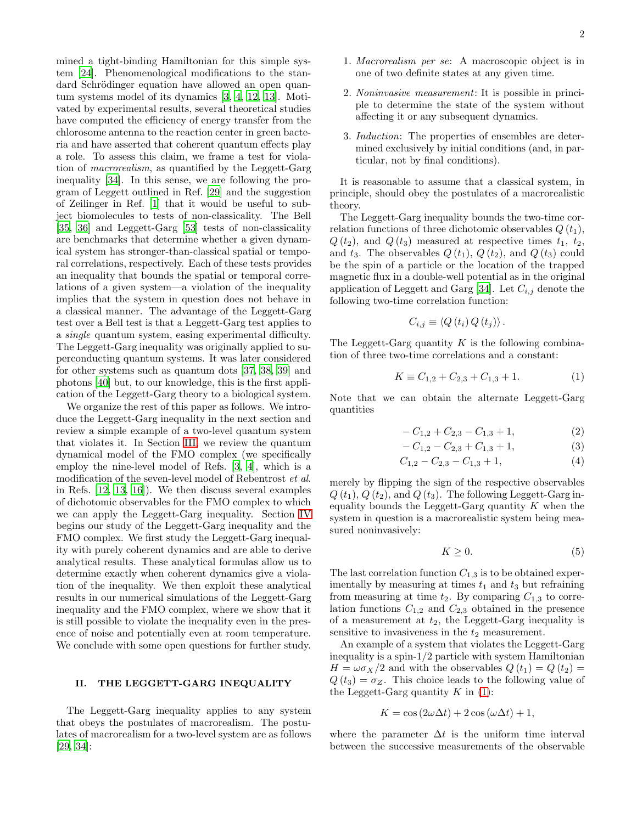mined a tight-binding Hamiltonian for this simple system [\[24\]](#page-9-10). Phenomenological modifications to the standard Schrödinger equation have allowed an open quantum systems model of its dynamics [\[3](#page-8-2), [4,](#page-8-3) [12,](#page-8-11) [13](#page-8-12)]. Motivated by experimental results, several theoretical studies have computed the efficiency of energy transfer from the chlorosome antenna to the reaction center in green bacteria and have asserted that coherent quantum effects play a role. To assess this claim, we frame a test for violation of macrorealism, as quantified by the Leggett-Garg inequality [\[34\]](#page-9-20). In this sense, we are following the program of Leggett outlined in Ref. [\[29](#page-9-15)] and the suggestion of Zeilinger in Ref. [\[1](#page-8-0)] that it would be useful to subject biomolecules to tests of non-classicality. The Bell [\[35,](#page-9-21) [36\]](#page-9-22) and Leggett-Garg [\[53](#page-10-0)] tests of non-classicality are benchmarks that determine whether a given dynamical system has stronger-than-classical spatial or temporal correlations, respectively. Each of these tests provides an inequality that bounds the spatial or temporal correlations of a given system—a violation of the inequality implies that the system in question does not behave in a classical manner. The advantage of the Leggett-Garg test over a Bell test is that a Leggett-Garg test applies to a single quantum system, easing experimental difficulty. The Leggett-Garg inequality was originally applied to superconducting quantum systems. It was later considered for other systems such as quantum dots [\[37](#page-9-23), [38,](#page-9-24) [39\]](#page-9-25) and photons [\[40\]](#page-9-26) but, to our knowledge, this is the first application of the Leggett-Garg theory to a biological system.

We organize the rest of this paper as follows. We introduce the Leggett-Garg inequality in the next section and review a simple example of a two-level quantum system that violates it. In Section [III,](#page-3-0) we review the quantum dynamical model of the FMO complex (we specifically employ the nine-level model of Refs. [\[3](#page-8-2), [4\]](#page-8-3), which is a modification of the seven-level model of Rebentrost et al. in Refs. [\[12,](#page-8-11) [13,](#page-8-12) [16](#page-9-2)]). We then discuss several examples of dichotomic observables for the FMO complex to which we can apply the Leggett-Garg inequality. Section [IV](#page-4-0) begins our study of the Leggett-Garg inequality and the FMO complex. We first study the Leggett-Garg inequality with purely coherent dynamics and are able to derive analytical results. These analytical formulas allow us to determine exactly when coherent dynamics give a violation of the inequality. We then exploit these analytical results in our numerical simulations of the Leggett-Garg inequality and the FMO complex, where we show that it is still possible to violate the inequality even in the presence of noise and potentially even at room temperature. We conclude with some open questions for further study.

#### <span id="page-2-2"></span>II. THE LEGGETT-GARG INEQUALITY

The Leggett-Garg inequality applies to any system that obeys the postulates of macrorealism. The postulates of macrorealism for a two-level system are as follows [\[29,](#page-9-15) [34\]](#page-9-20):

- 1. Macrorealism per se: A macroscopic object is in one of two definite states at any given time.
- 2. Noninvasive measurement: It is possible in principle to determine the state of the system without affecting it or any subsequent dynamics.
- 3. Induction: The properties of ensembles are determined exclusively by initial conditions (and, in particular, not by final conditions).

It is reasonable to assume that a classical system, in principle, should obey the postulates of a macrorealistic theory.

The Leggett-Garg inequality bounds the two-time correlation functions of three dichotomic observables  $Q(t_1)$ ,  $Q(t_2)$ , and  $Q(t_3)$  measured at respective times  $t_1, t_2$ , and  $t_3$ . The observables  $Q(t_1)$ ,  $Q(t_2)$ , and  $Q(t_3)$  could be the spin of a particle or the location of the trapped magnetic flux in a double-well potential as in the original application of Leggett and Garg [\[34](#page-9-20)]. Let  $C_{i,j}$  denote the following two-time correlation function:

$$
C_{i,j} \equiv \langle Q(t_i) Q(t_j) \rangle.
$$

The Leggett-Garg quantity  $K$  is the following combination of three two-time correlations and a constant:

<span id="page-2-0"></span>
$$
K \equiv C_{1,2} + C_{2,3} + C_{1,3} + 1. \tag{1}
$$

Note that we can obtain the alternate Leggett-Garg quantities

<span id="page-2-3"></span>
$$
-C_{1,2} + C_{2,3} - C_{1,3} + 1,\tag{2}
$$

$$
-C_{1,2} - C_{2,3} + C_{1,3} + 1, \tag{3}
$$

$$
C_{1,2} - C_{2,3} - C_{1,3} + 1,\tag{4}
$$

merely by flipping the sign of the respective observables  $Q(t_1), Q(t_2), \text{ and } Q(t_3)$ . The following Leggett-Garg inequality bounds the Leggett-Garg quantity  $K$  when the system in question is a macrorealistic system being measured noninvasively:

<span id="page-2-1"></span>
$$
K \ge 0. \tag{5}
$$

The last correlation function  $C_{1,3}$  is to be obtained experimentally by measuring at times  $t_1$  and  $t_3$  but refraining from measuring at time  $t_2$ . By comparing  $C_{1,3}$  to correlation functions  $C_{1,2}$  and  $C_{2,3}$  obtained in the presence of a measurement at  $t_2$ , the Leggett-Garg inequality is sensitive to invasiveness in the  $t_2$  measurement.

An example of a system that violates the Leggett-Garg inequality is a spin-1/2 particle with system Hamiltonian  $H = \omega \sigma_X/2$  and with the observables  $Q(t_1) = Q(t_2)$  $Q(t_3) = \sigma_Z$ . This choice leads to the following value of the Leggett-Garg quantity  $K$  in [\(1\)](#page-2-0):

$$
K = \cos(2\omega\Delta t) + 2\cos(\omega\Delta t) + 1,
$$

where the parameter  $\Delta t$  is the uniform time interval between the successive measurements of the observable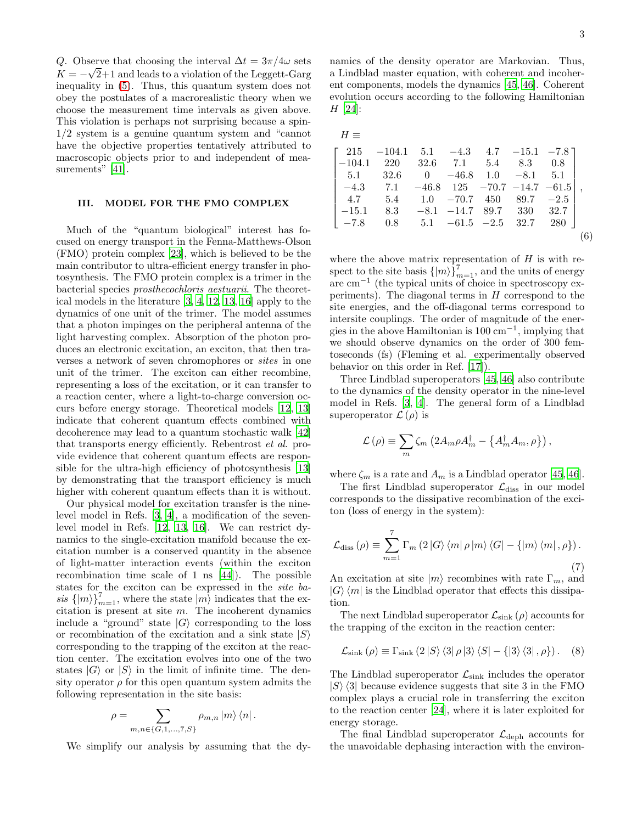Q. Observe that choosing the interval  $\Delta t = 3\pi/4\omega$  sets  $K = -\sqrt{2}+1$  and leads to a violation of the Leggett-Garg inequality in [\(5\)](#page-2-1). Thus, this quantum system does not obey the postulates of a macrorealistic theory when we choose the measurement time intervals as given above. This violation is perhaps not surprising because a spin-1/2 system is a genuine quantum system and "cannot have the objective properties tentatively attributed to macroscopic objects prior to and independent of mea-surements" [\[41\]](#page-9-27).

# <span id="page-3-0"></span>III. MODEL FOR THE FMO COMPLEX

Much of the "quantum biological" interest has focused on energy transport in the Fenna-Matthews-Olson (FMO) protein complex [\[23](#page-9-9)], which is believed to be the main contributor to ultra-efficient energy transfer in photosynthesis. The FMO protein complex is a trimer in the bacterial species prosthecochloris aestuarii. The theoretical models in the literature [\[3,](#page-8-2) [4](#page-8-3), [12,](#page-8-11) [13,](#page-8-12) [16](#page-9-2)] apply to the dynamics of one unit of the trimer. The model assumes that a photon impinges on the peripheral antenna of the light harvesting complex. Absorption of the photon produces an electronic excitation, an exciton, that then traverses a network of seven chromophores or sites in one unit of the trimer. The exciton can either recombine, representing a loss of the excitation, or it can transfer to a reaction center, where a light-to-charge conversion occurs before energy storage. Theoretical models [\[12](#page-8-11), [13](#page-8-12)] indicate that coherent quantum effects combined with decoherence may lead to a quantum stochastic walk [\[42](#page-9-28)] that transports energy efficiently. Rebentrost et al. provide evidence that coherent quantum effects are responsible for the ultra-high efficiency of photosynthesis [\[13](#page-8-12)] by demonstrating that the transport efficiency is much higher with coherent quantum effects than it is without.

Our physical model for excitation transfer is the ninelevel model in Refs. [\[3,](#page-8-2) [4\]](#page-8-3), a modification of the sevenlevel model in Refs. [\[12](#page-8-11), [13,](#page-8-12) [16\]](#page-9-2). We can restrict dynamics to the single-excitation manifold because the excitation number is a conserved quantity in the absence of light-matter interaction events (within the exciton recombination time scale of 1 ns [\[44\]](#page-9-29)). The possible states for the exciton can be expressed in the *site ba*sis  $\{\ket{m}\}_{m=1}^7$ , where the state  $\ket{m}$  indicates that the excitation is present at site  $m$ . The incoherent dynamics include a "ground" state  $|G\rangle$  corresponding to the loss or recombination of the excitation and a sink state  $|S\rangle$ corresponding to the trapping of the exciton at the reaction center. The excitation evolves into one of the two states  $|G\rangle$  or  $|S\rangle$  in the limit of infinite time. The density operator  $\rho$  for this open quantum system admits the following representation in the site basis:

$$
\rho = \sum_{m,n \in \{G,1,\ldots,7,S\}} \rho_{m,n} |m\rangle \langle n|.
$$

We simplify our analysis by assuming that the dy-

namics of the density operator are Markovian. Thus, a Lindblad master equation, with coherent and incoherent components, models the dynamics [\[45,](#page-9-30) [46\]](#page-9-31). Coherent evolution occurs according to the following Hamiltonian H [\[24](#page-9-10)]:

| $H \equiv$ |                                                                                                        |  |  |  |
|------------|--------------------------------------------------------------------------------------------------------|--|--|--|
|            | $\begin{bmatrix} 215 & -104.1 & 5.1 & -4.3 & 4.7 & -15.1 & -7.8 \end{bmatrix}$                         |  |  |  |
|            | $-104.1$ 220 32.6 7.1 5.4 8.3 0.8                                                                      |  |  |  |
|            | $\begin{array}{ c c c c c c c c } \hline 5.1 & 32.6 & 0 & -46.8 & 1.0 & -8.1 & 5.1 \hline \end{array}$ |  |  |  |
|            | $-4.3$ 7.1 $-46.8$ 125 $-70.7$ $-14.7$ $-61.5$ ],                                                      |  |  |  |
|            | $\begin{vmatrix} 4.7 & 5.4 & 1.0 & -70.7 & 450 & 89.7 & -2.5 \end{vmatrix}$                            |  |  |  |
|            | $\vert -15.1 \quad 8.3 \quad -8.1 \quad -14.7 \quad 89.7 \quad 330 \quad 32.7 \vert$                   |  |  |  |
|            | $\vert$ -7.8 0.8 5.1 -61.5 -2.5 32.7 280                                                               |  |  |  |
|            |                                                                                                        |  |  |  |

<span id="page-3-1"></span>where the above matrix representation of  $H$  is with respect to the site basis  $\{|m\rangle\}_{m=1}^7$ , and the units of energy are cm−<sup>1</sup> (the typical units of choice in spectroscopy experiments). The diagonal terms in  $H$  correspond to the site energies, and the off-diagonal terms correspond to intersite couplings. The order of magnitude of the energies in the above Hamiltonian is  $100 \text{ cm}^{-1}$ , implying that we should observe dynamics on the order of 300 femtoseconds (fs) (Fleming et al. experimentally observed behavior on this order in Ref. [\[17](#page-9-3)]).

Three Lindblad superoperators [\[45,](#page-9-30) [46\]](#page-9-31) also contribute to the dynamics of the density operator in the nine-level model in Refs. [\[3](#page-8-2), [4\]](#page-8-3). The general form of a Lindblad superoperator  $\mathcal{L}(\rho)$  is

$$
\mathcal{L}(\rho) \equiv \sum_{m} \zeta_{m} \left( 2A_{m}\rho A_{m}^{\dagger} - \left\{ A_{m}^{\dagger} A_{m}, \rho \right\} \right),
$$

where  $\zeta_m$  is a rate and  $A_m$  is a Lindblad operator [\[45](#page-9-30), [46\]](#page-9-31).

The first Lindblad superoperator  $\mathcal{L}_{\text{diss}}$  in our model corresponds to the dissipative recombination of the exciton (loss of energy in the system):

<span id="page-3-2"></span>
$$
\mathcal{L}_{\text{diss}}\left(\rho\right) \equiv \sum_{m=1}^{7} \Gamma_m\left(2\left|G\right\rangle\left\langle m\right|\rho\left|m\right\rangle\left\langle G\right| - \left\{\left|m\right\rangle\left\langle m\right|, \rho\right\}\right).
$$
\n(7)

An excitation at site  $|m\rangle$  recombines with rate  $\Gamma_m$ , and  $|G\rangle\langle m|$  is the Lindblad operator that effects this dissipation.

The next Lindblad superoperator  $\mathcal{L}_{\text{sink}}(\rho)$  accounts for the trapping of the exciton in the reaction center:

$$
\mathcal{L}_{\text{sink}}\left(\rho\right) \equiv \Gamma_{\text{sink}}\left(2\left|S\right\rangle\left\langle3\right|\rho\left|3\right\rangle\left\langle S\right| - \left\{3\right\rangle\left\langle3\right|,\rho\right\}\right).
$$
 (8)

The Lindblad superoperator  $\mathcal{L}_{\text{sink}}$  includes the operator  $|S\rangle$  (3) because evidence suggests that site 3 in the FMO complex plays a crucial role in transferring the exciton to the reaction center [\[24\]](#page-9-10), where it is later exploited for energy storage.

The final Lindblad superoperator  $\mathcal{L}_{\text{deph}}$  accounts for the unavoidable dephasing interaction with the environ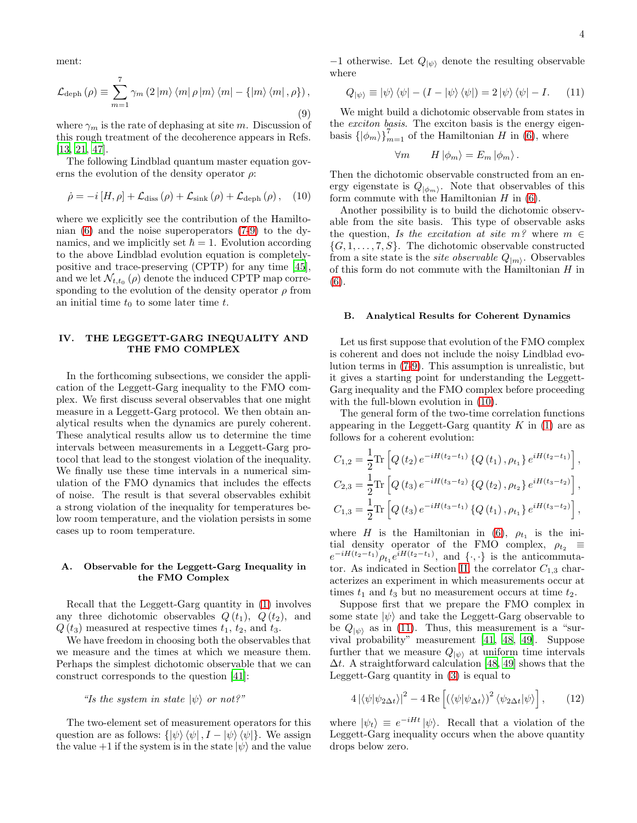ment:

<span id="page-4-1"></span>
$$
\mathcal{L}_{\text{deph}}\left(\rho\right) \equiv \sum_{m=1}^{7} \gamma_m \left(2 \left|m\right\rangle\left\langle m\right|\rho\left|m\right\rangle\left\langle m\right| - \left\{\left|m\right\rangle\left\langle m\right|, \rho\right\}\right),\tag{9}
$$

where  $\gamma_m$  is the rate of dephasing at site m. Discussion of this rough treatment of the decoherence appears in Refs. [\[13,](#page-8-12) [21,](#page-9-7) [47\]](#page-9-32).

The following Lindblad quantum master equation governs the evolution of the density operator  $\rho$ :

<span id="page-4-2"></span>
$$
\dot{\rho} = -i[H, \rho] + \mathcal{L}_{\text{diss}}\left(\rho\right) + \mathcal{L}_{\text{sink}}\left(\rho\right) + \mathcal{L}_{\text{deph}}\left(\rho\right), \quad (10)
$$

where we explicitly see the contribution of the Hamiltonian [\(6\)](#page-3-1) and the noise superoperators [\(7](#page-3-2)[-9\)](#page-4-1) to the dynamics, and we implicitly set  $\hbar = 1$ . Evolution according to the above Lindblad evolution equation is completelypositive and trace-preserving (CPTP) for any time [\[45\]](#page-9-30), and we let  $\mathcal{N}_{t,t_0}(\rho)$  denote the induced CPTP map corresponding to the evolution of the density operator  $\rho$  from an initial time  $t_0$  to some later time  $t$ .

# <span id="page-4-0"></span>IV. THE LEGGETT-GARG INEQUALITY AND THE FMO COMPLEX

In the forthcoming subsections, we consider the application of the Leggett-Garg inequality to the FMO complex. We first discuss several observables that one might measure in a Leggett-Garg protocol. We then obtain analytical results when the dynamics are purely coherent. These analytical results allow us to determine the time intervals between measurements in a Leggett-Garg protocol that lead to the stongest violation of the inequality. We finally use these time intervals in a numerical simulation of the FMO dynamics that includes the effects of noise. The result is that several observables exhibit a strong violation of the inequality for temperatures below room temperature, and the violation persists in some cases up to room temperature.

#### A. Observable for the Leggett-Garg Inequality in the FMO Complex

Recall that the Leggett-Garg quantity in [\(1\)](#page-2-0) involves any three dichotomic observables  $Q(t_1)$ ,  $Q(t_2)$ , and  $Q(t_3)$  measured at respective times  $t_1$ ,  $t_2$ , and  $t_3$ .

We have freedom in choosing both the observables that we measure and the times at which we measure them. Perhaps the simplest dichotomic observable that we can construct corresponds to the question [\[41](#page-9-27)]:

#### "Is the system in state  $|\psi\rangle$  or not?"

The two-element set of measurement operators for this question are as follows:  $\{\ket{\psi}\bra{\psi}, I - \ket{\psi}\bra{\psi}\}.$  We assign the value  $+1$  if the system is in the state  $|\psi\rangle$  and the value

−1 otherwise. Let  $Q_{|\psi\rangle}$  denote the resulting observable where

<span id="page-4-3"></span>
$$
Q_{|\psi\rangle} \equiv |\psi\rangle \langle \psi| - (I - |\psi\rangle \langle \psi|) = 2 |\psi\rangle \langle \psi| - I. \quad (11)
$$

We might build a dichotomic observable from states in the exciton basis. The exciton basis is the energy eigenbasis  $\{\ket{\phi_m}\}_{m=1}^7$  of the Hamiltonian H in [\(6\)](#page-3-1), where

$$
\forall m \qquad H \left| \phi_m \right\rangle = E_m \left| \phi_m \right\rangle.
$$

Then the dichotomic observable constructed from an energy eigenstate is  $Q_{\vert\phi_m\rangle}$ . Note that observables of this form commute with the Hamiltonian  $H$  in  $(6)$ .

Another possibility is to build the dichotomic observable from the site basis. This type of observable asks the question, Is the excitation at site  $m^2$  where  $m \in$  $\{G, 1, \ldots, 7, S\}$ . The dichotomic observable constructed from a site state is the *site observable*  $Q_{|m\rangle}$ . Observables of this form do not commute with the Hamiltonian  $H$  in [\(6\)](#page-3-1).

#### B. Analytical Results for Coherent Dynamics

Let us first suppose that evolution of the FMO complex is coherent and does not include the noisy Lindblad evolution terms in [\(7](#page-3-2)[-9\)](#page-4-1). This assumption is unrealistic, but it gives a starting point for understanding the Leggett-Garg inequality and the FMO complex before proceeding with the full-blown evolution in  $(10)$ .

The general form of the two-time correlation functions appearing in the Leggett-Garg quantity  $K$  in [\(1\)](#page-2-0) are as follows for a coherent evolution:

$$
C_{1,2} = \frac{1}{2} \text{Tr} \left[ Q(t_2) e^{-iH(t_2 - t_1)} \left\{ Q(t_1), \rho_{t_1} \right\} e^{iH(t_2 - t_1)} \right],
$$
  
\n
$$
C_{2,3} = \frac{1}{2} \text{Tr} \left[ Q(t_3) e^{-iH(t_3 - t_2)} \left\{ Q(t_2), \rho_{t_2} \right\} e^{iH(t_3 - t_2)} \right],
$$
  
\n
$$
C_{1,3} = \frac{1}{2} \text{Tr} \left[ Q(t_3) e^{-iH(t_3 - t_1)} \left\{ Q(t_1), \rho_{t_1} \right\} e^{iH(t_3 - t_2)} \right],
$$

where H is the Hamiltonian in [\(6\)](#page-3-1),  $\rho_{t_1}$  is the initial density operator of the FMO complex,  $\rho_{t_2} \equiv$  $e^{-iH(t_2-t_1)}\rho_{t_1}e^{iH(t_2-t_1)}$ , and  $\{\cdot,\cdot\}$  is the anticommuta-tor. As indicated in Section [II,](#page-2-2) the correlator  $C_{1,3}$  characterizes an experiment in which measurements occur at times  $t_1$  and  $t_3$  but no measurement occurs at time  $t_2$ .

Suppose first that we prepare the FMO complex in some state  $|\psi\rangle$  and take the Leggett-Garg observable to be  $Q_{\ket{\psi}}$  as in [\(11\)](#page-4-3). Thus, this measurement is a "survival probability" measurement [\[41](#page-9-27), [48](#page-9-33), [49\]](#page-9-34). Suppose further that we measure  $Q_{|\psi\rangle}$  at uniform time intervals  $\Delta t$ . A straightforward calculation [\[48](#page-9-33), [49\]](#page-9-34) shows that the Leggett-Garg quantity in [\(3\)](#page-2-3) is equal to

<span id="page-4-4"></span>
$$
4\left|\langle\psi|\psi_{2\Delta t}\rangle\right|^2 - 4\operatorname{Re}\left[\left(\langle\psi|\psi_{\Delta t}\rangle\right)^2 \langle\psi_{2\Delta t}|\psi\rangle\right],\qquad(12)
$$

where  $|\psi_t\rangle \equiv e^{-iHt} |\psi\rangle$ . Recall that a violation of the Leggett-Garg inequality occurs when the above quantity drops below zero.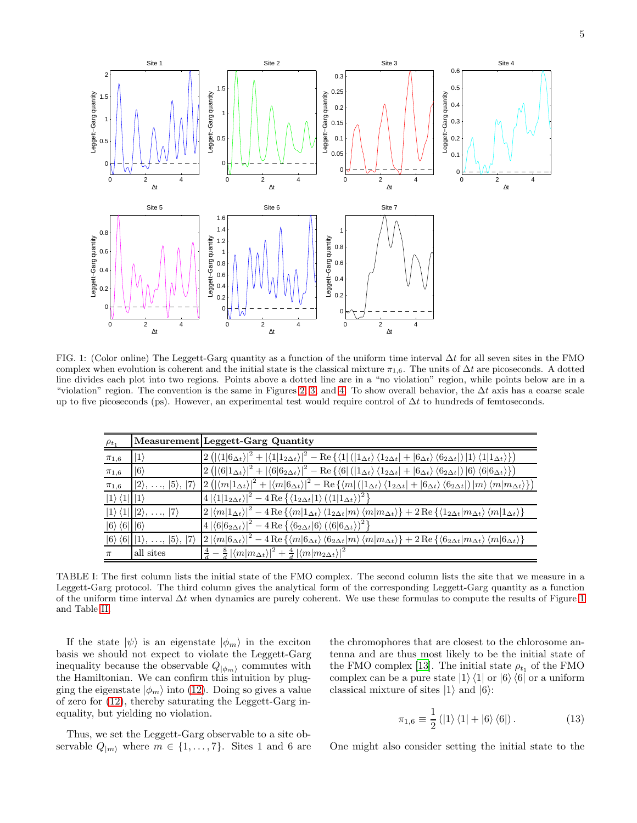

<span id="page-5-0"></span>FIG. 1: (Color online) The Leggett-Garg quantity as a function of the uniform time interval ∆t for all seven sites in the FMO complex when evolution is coherent and the initial state is the classical mixture  $\pi_{1,6}$ . The units of  $\Delta t$  are picoseconds. A dotted line divides each plot into two regions. Points above a dotted line are in a "no violation" region, while points below are in a "violation" region. The convention is the same in Figures [2,](#page-7-0) [3,](#page-7-1) and [4.](#page-7-2) To show overall behavior, the  $\Delta t$  axis has a coarse scale up to five picoseconds (ps). However, an experimental test would require control of  $\Delta t$  to hundreds of femtoseconds.

| $\rho_{t_1}$                     |                                                                | Measurement Leggett-Garg Quantity                                                                                                                                                                                                                                                                                                                                                                                   |
|----------------------------------|----------------------------------------------------------------|---------------------------------------------------------------------------------------------------------------------------------------------------------------------------------------------------------------------------------------------------------------------------------------------------------------------------------------------------------------------------------------------------------------------|
| $\pi_{1,6}$                      | $ 1\rangle$                                                    | $\left 2\left(\left \left\langle 1\right 6\Delta t\right\rangle\right ^{2}+\left \left\langle 1\right 1_{2}\Delta t\right\rangle\right ^{2}-\operatorname{Re}\left\{\left\langle 1\right \left(\left 1\Delta t\right\rangle\left\langle 1_{2}\Delta t\right +\left 6\Delta t\right\rangle\left\langle 6_{2}\Delta t\right \right)\left 1\right\rangle\left\langle 1\right 1_{\Delta t}\right\rangle\right\}\right)$ |
| $\pi_{1,6}$                      | $ 6\rangle$                                                    | $\left 2\left(\left \left\langle 6 1_{\Delta t}\right\rangle\right ^{2}+\left \left\langle 6 6_{2\Delta t}\right\rangle\right ^{2}-\operatorname{Re}\left\{\left\langle 6\right \left(\left 1_{\Delta t}\right\rangle\left\langle 1_{2\Delta t}\right +\left 6_{\Delta t}\right\rangle\left\langle 6_{2\Delta t}\right \right) 6\right\rangle\left\langle 6 6_{\Delta t}\right\rangle\right\}\right)$               |
| $\pi_{1,6}$                      | $ 2\rangle$ , , $ 5\rangle$ , $ 7\rangle$                      | $\left 2\left(\left \langle m 1_{\Delta t}\rangle\right ^{2}+\left \langle m 6_{\Delta t}\rangle\right ^{2}-\operatorname{Re}\left\{\langle m \left(\left 1_{\Delta t}\right\rangle\left\langle 1_{2\Delta t}\right +\left 6_{\Delta t}\right\rangle\left\langle 6_{2\Delta t}\right \right) m\rangle\left\langle m m_{\Delta t}\right\rangle\right\}\right)\right $                                                |
| $ 1\rangle\langle 1   1\rangle$  |                                                                | $ 4 \langle 1 1_{2\Delta t}\rangle ^2 - 4 \operatorname{Re}\left\{\langle 1_{2\Delta t} 1\rangle \left(\langle 1 1_{\Delta t}\rangle\right)^2\right\}$                                                                                                                                                                                                                                                              |
|                                  | $ 1\rangle\langle 1   2\rangle, ,  7\rangle$                   | $\left 2\left \langle m 1_{\Delta t}\right\rangle\right ^2 - 4\operatorname{Re}\left\{\langle m 1_{\Delta t}\right\rangle\langle1_{2\Delta t} m\rangle\langle m m_{\Delta t}\rangle\right\} + 2\operatorname{Re}\left\{\langle1_{2\Delta t} m_{\Delta t}\right\rangle\langle m 1_{\Delta t}\rangle\right\}$                                                                                                         |
| $ 6\rangle \langle 6   6\rangle$ |                                                                | $4 \langle 6 6_{2\Delta t}\rangle ^2 - 4 \operatorname{Re}\left\{ \langle 6_{2\Delta t} 6\rangle \left(\langle 6 6_{\Delta t}\rangle\right)^2 \right\}$                                                                                                                                                                                                                                                             |
|                                  | $ 6\rangle \langle 6   1\rangle, \ldots,  5\rangle,  7\rangle$ | $\left 2\left \left\langle m \mathbf{6}_{\Delta t}\right\rangle\right ^2-4\operatorname{Re}\left\{\left\langle m \mathbf{6}_{\Delta t}\right\rangle\left\langle\mathbf{6}_{2\Delta t} m\right\rangle\left\langle m m_{\Delta t}\right\rangle\right\}+2\operatorname{Re}\left\{\left\langle\mathbf{6}_{2\Delta t} m_{\Delta t}\right\rangle\left\langle m \mathbf{6}_{\Delta t}\right\rangle\right\}$                |
| $\pi$                            | all sites                                                      | $\left \frac{4}{d} - \frac{8}{d}\left  \langle m   m_{\Delta t} \rangle \right ^2 + \frac{4}{d}\left  \langle m   m_{2\Delta t} \rangle \right ^2 \right $                                                                                                                                                                                                                                                          |

<span id="page-5-1"></span>TABLE I: The first column lists the initial state of the FMO complex. The second column lists the site that we measure in a Leggett-Garg protocol. The third column gives the analytical form of the corresponding Leggett-Garg quantity as a function of the uniform time interval  $\Delta t$  when dynamics are purely coherent. We use these formulas to compute the results of Figure [1](#page-5-0) and Table [II.](#page-6-0)

If the state  $|\psi\rangle$  is an eigenstate  $|\phi_m\rangle$  in the exciton basis we should not expect to violate the Leggett-Garg inequality because the observable  $Q_{|\phi_m\rangle}$  commutes with the Hamiltonian. We can confirm this intuition by plugging the eigenstate  $|\phi_m\rangle$  into [\(12\)](#page-4-4). Doing so gives a value of zero for [\(12\)](#page-4-4), thereby saturating the Leggett-Garg inequality, but yielding no violation.

the chromophores that are closest to the chlorosome antenna and are thus most likely to be the initial state of the FMO complex [\[13\]](#page-8-12). The initial state  $\rho_{t_1}$  of the FMO complex can be a pure state  $|1\rangle \langle 1|$  or  $|6\rangle \langle 6|$  or a uniform classical mixture of sites  $|1\rangle$  and  $|6\rangle$ :

<span id="page-5-2"></span>
$$
\pi_{1,6} \equiv \frac{1}{2} (|1\rangle\langle 1| + |6\rangle\langle 6|).
$$
 (13)

Thus, we set the Leggett-Garg observable to a site observable  $Q_{|m\rangle}$  where  $m \in \{1, \ldots, 7\}$ . Sites 1 and 6 are

One might also consider setting the initial state to the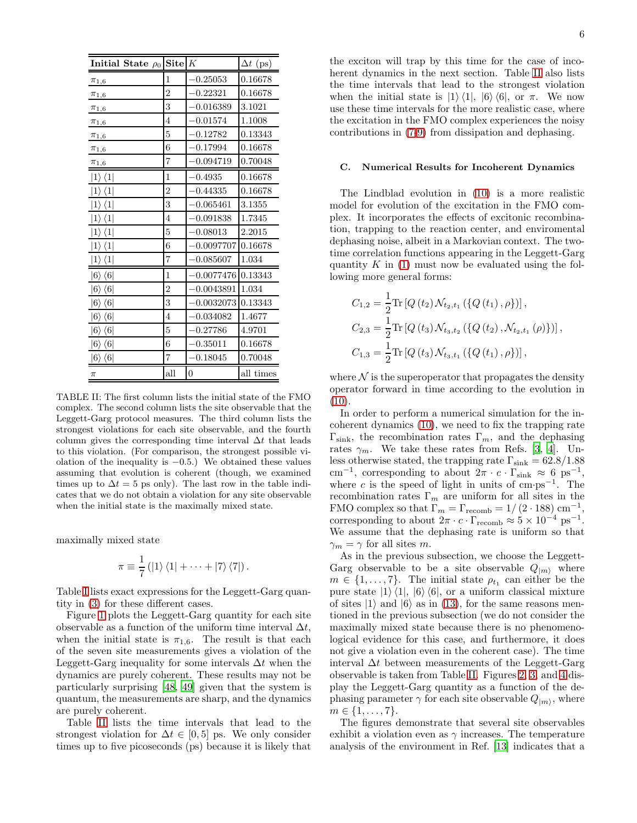| Initial State $\rho_0$      | Site           | K            | $\Delta t$ (ps) |
|-----------------------------|----------------|--------------|-----------------|
| $\pi_{1,6}$                 | 1              | $-0.25053$   | 0.16678         |
| $\pi_{1,6}$                 | $\overline{2}$ | $-0.22321$   | 0.16678         |
| $\pi_{1,6}$                 | 3              | $-0.016389$  | 3.1021          |
| $\pi_{1,6}$                 | 4              | $-0.01574$   | 1.1008          |
| $\pi_{1,6}$                 | 5              | $-0.12782$   | 0.13343         |
| $\pi_{1,6}$                 | 6              | $-0.17994$   | 0.16678         |
| $\pi_{1,6}$                 | 7              | -0.094719    | 0.70048         |
| $1 \rangle \langle 1 $      | 1              | $-0.4935$    | 0.16678         |
| $\langle 1 $                | $\overline{2}$ | $-0.44335$   | 0.16678         |
| $1\rangle$<br>$\langle 1 $  | 3              | $-0.065461$  | 3.1355          |
| $1\rangle$<br>$\langle 1 $  | 4              | $-0.091838$  | 1.7345          |
| $1\rangle$<br>$\langle 1 $  | 5              | $-0.08013$   | 2.2015          |
| $ 1\rangle$<br>$\langle 1 $ | 6              | $-0.0097707$ | 0.16678         |
| $ 1\rangle$<br>$\langle 1 $ | 7              | $-0.085607$  | 1.034           |
| $ 6\rangle$<br>$\langle 6 $ | 1              | $-0.0077476$ | 0.13343         |
| $6\rangle$<br>$\langle 6 $  | $\overline{2}$ | $-0.0043891$ | 1.034           |
| $ 6\rangle$<br>$\langle 6 $ | 3              | $-0.0032073$ | 0.13343         |
| $6\rangle$<br>$\langle 6 $  | $\overline{4}$ | $-0.034082$  | 1.4677          |
| $ 6\rangle$<br>$\langle 6 $ | 5              | $-0.27786$   | 4.9701          |
| $ 6\rangle$<br>$\langle 6 $ | 6              | $-0.35011$   | 0.16678         |
| $ 6\rangle$<br>$\langle 6 $ | 7              | $-0.18045$   | 0.70048         |
| $\pi$                       | all            | $\theta$     | all times       |

<span id="page-6-0"></span>TABLE II: The first column lists the initial state of the FMO complex. The second column lists the site observable that the Leggett-Garg protocol measures. The third column lists the strongest violations for each site observable, and the fourth column gives the corresponding time interval  $\Delta t$  that leads to this violation. (For comparison, the strongest possible violation of the inequality is  $-0.5$ .) We obtained these values assuming that evolution is coherent (though, we examined times up to  $\Delta t = 5$  ps only). The last row in the table indicates that we do not obtain a violation for any site observable when the initial state is the maximally mixed state.

maximally mixed state

$$
\pi \equiv \frac{1}{7} (|1\rangle \langle 1| + \cdots + |7\rangle \langle 7|).
$$

Table [I](#page-5-1) lists exact expressions for the Leggett-Garg quantity in [\(3\)](#page-2-3) for these different cases.

Figure [1](#page-5-0) plots the Leggett-Garg quantity for each site observable as a function of the uniform time interval  $\Delta t$ , when the initial state is  $\pi_{1,6}$ . The result is that each of the seven site measurements gives a violation of the Leggett-Garg inequality for some intervals  $\Delta t$  when the dynamics are purely coherent. These results may not be particularly surprising [\[48](#page-9-33), [49](#page-9-34)] given that the system is quantum, the measurements are sharp, and the dynamics are purely coherent.

Table [II](#page-6-0) lists the time intervals that lead to the strongest violation for  $\Delta t \in [0, 5]$  ps. We only consider times up to five picoseconds (ps) because it is likely that

the exciton will trap by this time for the case of incoherent dynamics in the next section. Table [II](#page-6-0) also lists the time intervals that lead to the strongest violation when the initial state is  $|1\rangle \langle 1|, |6\rangle \langle 6|, \text{ or } \pi$ . We now use these time intervals for the more realistic case, where the excitation in the FMO complex experiences the noisy contributions in [\(7-](#page-3-2)[9\)](#page-4-1) from dissipation and dephasing.

#### C. Numerical Results for Incoherent Dynamics

The Lindblad evolution in [\(10\)](#page-4-2) is a more realistic model for evolution of the excitation in the FMO complex. It incorporates the effects of excitonic recombination, trapping to the reaction center, and enviromental dephasing noise, albeit in a Markovian context. The twotime correlation functions appearing in the Leggett-Garg quantity K in  $(1)$  must now be evaluated using the following more general forms:

$$
C_{1,2} = \frac{1}{2} \text{Tr} \left[ Q(t_2) \mathcal{N}_{t_2,t_1} \left( \{ Q(t_1), \rho \} \right) \right],
$$
  
\n
$$
C_{2,3} = \frac{1}{2} \text{Tr} \left[ Q(t_3) \mathcal{N}_{t_3,t_2} \left( \{ Q(t_2), \mathcal{N}_{t_2,t_1} \left( \rho \right) \} \right) \right],
$$
  
\n
$$
C_{1,3} = \frac{1}{2} \text{Tr} \left[ Q(t_3) \mathcal{N}_{t_3,t_1} \left( \{ Q(t_1), \rho \} \right) \right],
$$

where  $\mathcal N$  is the superoperator that propagates the density operator forward in time according to the evolution in  $(10).$  $(10).$ 

In order to perform a numerical simulation for the incoherent dynamics [\(10\)](#page-4-2), we need to fix the trapping rate  $\Gamma_{\text{sink}}$ , the recombination rates  $\Gamma_m$ , and the dephasing rates  $\gamma_m$ . We take these rates from Refs. [\[3](#page-8-2), [4\]](#page-8-3). Unless otherwise stated, the trapping rate  $\Gamma_{\rm sink} = 62.8/1.88$ cm<sup>-1</sup>, corresponding to about  $2\pi \cdot c \cdot \Gamma_{\text{sink}} \approx 6 \text{ ps}^{-1}$ , where c is the speed of light in units of  $\text{cm}\cdot\text{ps}^{-1}$ . The recombination rates  $\Gamma_m$  are uniform for all sites in the FMO complex so that  $\Gamma_m = \Gamma_{\text{recomb}} = 1/(2 \cdot 188) \text{ cm}^{-1}$ , corresponding to about  $2\pi \cdot c \cdot \Gamma_{\text{recomb}} \approx 5 \times 10^{-4} \text{ ps}^{-1}$ . We assume that the dephasing rate is uniform so that  $\gamma_m = \gamma$  for all sites m.

As in the previous subsection, we choose the Leggett-Garg observable to be a site observable  $Q_{|m\rangle}$  where  $m \in \{1, \ldots, 7\}$ . The initial state  $\rho_{t_1}$  can either be the pure state  $|1\rangle\langle 1|, |6\rangle\langle 6|$ , or a uniform classical mixture of sites  $|1\rangle$  and  $|6\rangle$  as in [\(13\)](#page-5-2), for the same reasons mentioned in the previous subsection (we do not consider the maximally mixed state because there is no phenomenological evidence for this case, and furthermore, it does not give a violation even in the coherent case). The time interval  $\Delta t$  between measurements of the Leggett-Garg observable is taken from Table [II.](#page-6-0) Figures [2,](#page-7-0) [3,](#page-7-1) and [4](#page-7-2) display the Leggett-Garg quantity as a function of the dephasing parameter  $\gamma$  for each site observable  $Q_{|m\rangle}$ , where  $m \in \{1, \ldots, 7\}.$ 

The figures demonstrate that several site observables exhibit a violation even as  $\gamma$  increases. The temperature analysis of the environment in Ref. [\[13](#page-8-12)] indicates that a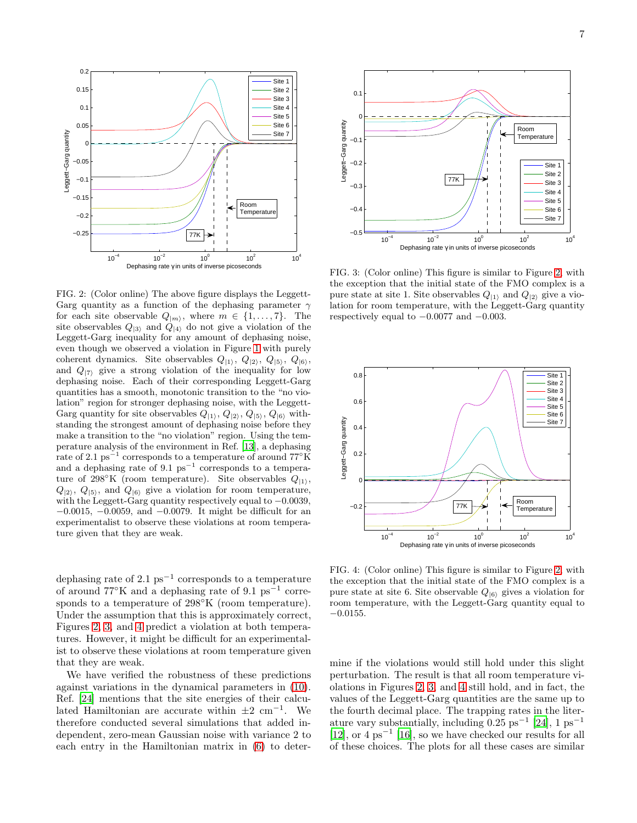

<span id="page-7-0"></span>FIG. 2: (Color online) The above figure displays the Leggett-Garg quantity as a function of the dephasing parameter  $\gamma$ for each site observable  $Q_{|m\rangle}$ , where  $m \in \{1, ..., 7\}$ . The site observables  $Q_{|3\rangle}$  and  $Q_{|4\rangle}$  do not give a violation of the Leggett-Garg inequality for any amount of dephasing noise, even though we observed a violation in Figure [1](#page-5-0) with purely coherent dynamics. Site observables  $Q_{|1\rangle}$ ,  $Q_{|2\rangle}$ ,  $Q_{|5\rangle}$ ,  $Q_{|6\rangle}$ , and  $Q_{|7\rangle}$  give a strong violation of the inequality for low dephasing noise. Each of their corresponding Leggett-Garg quantities has a smooth, monotonic transition to the "no violation" region for stronger dephasing noise, with the Leggett-Garg quantity for site observables  $Q_{|1\rangle}$ ,  $Q_{|2\rangle}$ ,  $Q_{|5\rangle}$ ,  $Q_{|6\rangle}$  withstanding the strongest amount of dephasing noise before they make a transition to the "no violation" region. Using the temperature analysis of the environment in Ref. [\[13\]](#page-8-12), a dephasing rate of 2.1 ps<sup> $-1$ </sup> corresponds to a temperature of around  $77^{\circ}$ K and a dephasing rate of 9.1  $ps^{-1}$  corresponds to a temperature of 298°K (room temperature). Site observables  $Q_{11}$ ,  $Q_{12}$ ,  $Q_{15}$ , and  $Q_{16}$  give a violation for room temperature, with the Leggett-Garg quantity respectively equal to −0.0039, −0.0015, −0.0059, and −0.0079. It might be difficult for an experimentalist to observe these violations at room temperature given that they are weak.

dephasing rate of 2.1  $ps^{-1}$  corresponds to a temperature of around  $77^{\circ}$ K and a dephasing rate of 9.1 ps<sup>-1</sup> corresponds to a temperature of 298°K (room temperature). Under the assumption that this is approximately correct, Figures [2,](#page-7-0) [3,](#page-7-1) and [4](#page-7-2) predict a violation at both temperatures. However, it might be difficult for an experimentalist to observe these violations at room temperature given that they are weak.

We have verified the robustness of these predictions against variations in the dynamical parameters in [\(10\)](#page-4-2). Ref. [\[24\]](#page-9-10) mentions that the site energies of their calculated Hamiltonian are accurate within  $\pm 2 \text{ cm}^{-1}$ . We therefore conducted several simulations that added independent, zero-mean Gaussian noise with variance 2 to each entry in the Hamiltonian matrix in [\(6\)](#page-3-1) to deter-



<span id="page-7-1"></span>FIG. 3: (Color online) This figure is similar to Figure [2,](#page-7-0) with the exception that the initial state of the FMO complex is a pure state at site 1. Site observables  $Q_{11}$  and  $Q_{22}$  give a violation for room temperature, with the Leggett-Garg quantity respectively equal to  $-0.0077$  and  $-0.003$ .



<span id="page-7-2"></span>FIG. 4: (Color online) This figure is similar to Figure [2,](#page-7-0) with the exception that the initial state of the FMO complex is a pure state at site 6. Site observable  $Q_{6}$  gives a violation for room temperature, with the Leggett-Garg quantity equal to  $-0.0155.$ 

mine if the violations would still hold under this slight perturbation. The result is that all room temperature violations in Figures [2,](#page-7-0) [3,](#page-7-1) and [4](#page-7-2) still hold, and in fact, the values of the Leggett-Garg quantities are the same up to the fourth decimal place. The trapping rates in the literature vary substantially, including  $0.25 \text{ ps}^{-1}$  [\[24](#page-9-10)], 1  $\text{ps}^{-1}$ [\[12\]](#page-8-11), or 4 ps<sup>−</sup><sup>1</sup> [\[16](#page-9-2)], so we have checked our results for all of these choices. The plots for all these cases are similar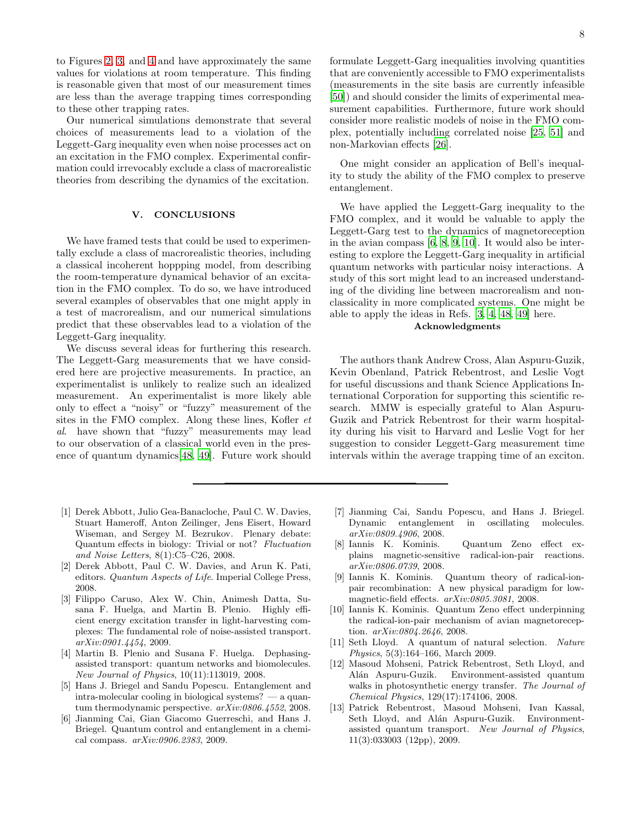to Figures [2,](#page-7-0) [3,](#page-7-1) and [4](#page-7-2) and have approximately the same values for violations at room temperature. This finding is reasonable given that most of our measurement times are less than the average trapping times corresponding to these other trapping rates.

Our numerical simulations demonstrate that several choices of measurements lead to a violation of the Leggett-Garg inequality even when noise processes act on an excitation in the FMO complex. Experimental confirmation could irrevocably exclude a class of macrorealistic theories from describing the dynamics of the excitation.

### V. CONCLUSIONS

We have framed tests that could be used to experimentally exclude a class of macrorealistic theories, including a classical incoherent hoppping model, from describing the room-temperature dynamical behavior of an excitation in the FMO complex. To do so, we have introduced several examples of observables that one might apply in a test of macrorealism, and our numerical simulations predict that these observables lead to a violation of the Leggett-Garg inequality.

We discuss several ideas for furthering this research. The Leggett-Garg measurements that we have considered here are projective measurements. In practice, an experimentalist is unlikely to realize such an idealized measurement. An experimentalist is more likely able only to effect a "noisy" or "fuzzy" measurement of the sites in the FMO complex. Along these lines, Kofler *et* al. have shown that "fuzzy" measurements may lead to our observation of a classical world even in the presence of quantum dynamics[\[48,](#page-9-33) [49](#page-9-34)]. Future work should

- <span id="page-8-0"></span>[1] Derek Abbott, Julio Gea-Banacloche, Paul C. W. Davies, Stuart Hameroff, Anton Zeilinger, Jens Eisert, Howard Wiseman, and Sergey M. Bezrukov. Plenary debate: Quantum effects in biology: Trivial or not? *Fluctuation and Noise Letters*, 8(1):C5–C26, 2008.
- <span id="page-8-1"></span>[2] Derek Abbott, Paul C. W. Davies, and Arun K. Pati, editors. *Quantum Aspects of Life*. Imperial College Press, 2008.
- <span id="page-8-2"></span>[3] Filippo Caruso, Alex W. Chin, Animesh Datta, Susana F. Huelga, and Martin B. Plenio. Highly efficient energy excitation transfer in light-harvesting complexes: The fundamental role of noise-assisted transport. *arXiv:0901.4454*, 2009.
- <span id="page-8-3"></span>[4] Martin B. Plenio and Susana F. Huelga. Dephasingassisted transport: quantum networks and biomolecules. *New Journal of Physics*, 10(11):113019, 2008.
- <span id="page-8-4"></span>[5] Hans J. Briegel and Sandu Popescu. Entanglement and intra-molecular cooling in biological systems? — a quantum thermodynamic perspective. *arXiv:0806.4552*, 2008.
- <span id="page-8-5"></span>[6] Jianming Cai, Gian Giacomo Guerreschi, and Hans J. Briegel. Quantum control and entanglement in a chemical compass. *arXiv:0906.2383*, 2009.

One might consider an application of Bell's inequality to study the ability of the FMO complex to preserve entanglement.

We have applied the Leggett-Garg inequality to the FMO complex, and it would be valuable to apply the Leggett-Garg test to the dynamics of magnetoreception in the avian compass [\[6,](#page-8-5) [8](#page-8-7), [9](#page-8-8), [10](#page-8-9)]. It would also be interesting to explore the Leggett-Garg inequality in artificial quantum networks with particular noisy interactions. A study of this sort might lead to an increased understanding of the dividing line between macrorealism and nonclassicality in more complicated systems. One might be able to apply the ideas in Refs. [\[3,](#page-8-2) [4,](#page-8-3) [48](#page-9-33), [49](#page-9-34)] here.

# Acknowledgments

The authors thank Andrew Cross, Alan Aspuru-Guzik, Kevin Obenland, Patrick Rebentrost, and Leslie Vogt for useful discussions and thank Science Applications International Corporation for supporting this scientific research. MMW is especially grateful to Alan Aspuru-Guzik and Patrick Rebentrost for their warm hospitality during his visit to Harvard and Leslie Vogt for her suggestion to consider Leggett-Garg measurement time intervals within the average trapping time of an exciton.

- <span id="page-8-6"></span>[7] Jianming Cai, Sandu Popescu, and Hans J. Briegel. Dynamic entanglement in oscillating molecules. *arXiv:0809.4906*, 2008.
- <span id="page-8-7"></span>[8] Iannis K. Kominis. Quantum Zeno effect explains magnetic-sensitive radical-ion-pair reactions. *arXiv:0806.0739*, 2008.
- <span id="page-8-8"></span>[9] Iannis K. Kominis. Quantum theory of radical-ionpair recombination: A new physical paradigm for lowmagnetic-field effects. *arXiv:0805.3081*, 2008.
- <span id="page-8-9"></span>[10] Iannis K. Kominis. Quantum Zeno effect underpinning the radical-ion-pair mechanism of avian magnetoreception. *arXiv:0804.2646*, 2008.
- <span id="page-8-10"></span>[11] Seth Lloyd. A quantum of natural selection. *Nature Physics*, 5(3):164–166, March 2009.
- <span id="page-8-11"></span>[12] Masoud Mohseni, Patrick Rebentrost, Seth Lloyd, and Alán Aspuru-Guzik. Environment-assisted quantum walks in photosynthetic energy transfer. *The Journal of Chemical Physics*, 129(17):174106, 2008.
- <span id="page-8-12"></span>[13] Patrick Rebentrost, Masoud Mohseni, Ivan Kassal, Seth Lloyd, and Alán Aspuru-Guzik. Environmentassisted quantum transport. *New Journal of Physics*, 11(3):033003 (12pp), 2009.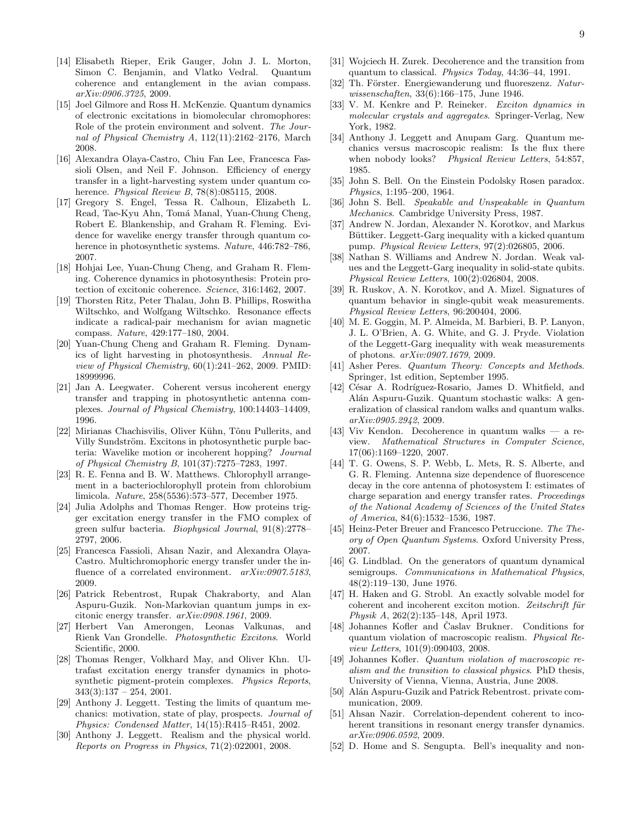- <span id="page-9-0"></span>[14] Elisabeth Rieper, Erik Gauger, John J. L. Morton, Simon C. Benjamin, and Vlatko Vedral. Quantum coherence and entanglement in the avian compass. *arXiv:0906.3725*, 2009.
- <span id="page-9-1"></span>[15] Joel Gilmore and Ross H. McKenzie. Quantum dynamics of electronic excitations in biomolecular chromophores: Role of the protein environment and solvent. *The Journal of Physical Chemistry A*, 112(11):2162–2176, March 2008.
- <span id="page-9-2"></span>[16] Alexandra Olaya-Castro, Chiu Fan Lee, Francesca Fassioli Olsen, and Neil F. Johnson. Efficiency of energy transfer in a light-harvesting system under quantum coherence. *Physical Review B*, 78(8):085115, 2008.
- <span id="page-9-3"></span>[17] Gregory S. Engel, Tessa R. Calhoun, Elizabeth L. Read, Tae-Kyu Ahn, Tomá Manal, Yuan-Chung Cheng, Robert E. Blankenship, and Graham R. Fleming. Evidence for wavelike energy transfer through quantum coherence in photosynthetic systems. *Nature*, 446:782–786, 2007.
- <span id="page-9-4"></span>[18] Hohjai Lee, Yuan-Chung Cheng, and Graham R. Fleming. Coherence dynamics in photosynthesis: Protein protection of excitonic coherence. *Science*, 316:1462, 2007.
- <span id="page-9-5"></span>[19] Thorsten Ritz, Peter Thalau, John B. Phillips, Roswitha Wiltschko, and Wolfgang Wiltschko. Resonance effects indicate a radical-pair mechanism for avian magnetic compass. *Nature*, 429:177–180, 2004.
- <span id="page-9-6"></span>[20] Yuan-Chung Cheng and Graham R. Fleming. Dynamics of light harvesting in photosynthesis. *Annual Review of Physical Chemistry*, 60(1):241–262, 2009. PMID: 18999996.
- <span id="page-9-7"></span>[21] Jan A. Leegwater. Coherent versus incoherent energy transfer and trapping in photosynthetic antenna complexes. *Journal of Physical Chemistry*, 100:14403–14409, 1996.
- <span id="page-9-8"></span>[22] Mirianas Chachisvilis, Oliver Kühn, Tõnu Pullerits, and Villy Sundström. Excitons in photosynthetic purple bacteria: Wavelike motion or incoherent hopping? *Journal of Physical Chemistry B*, 101(37):7275–7283, 1997.
- <span id="page-9-9"></span>[23] R. E. Fenna and B. W. Matthews. Chlorophyll arrangement in a bacteriochlorophyll protein from chlorobium limicola. *Nature*, 258(5536):573–577, December 1975.
- <span id="page-9-10"></span>[24] Julia Adolphs and Thomas Renger. How proteins trigger excitation energy transfer in the FMO complex of green sulfur bacteria. *Biophysical Journal*, 91(8):2778– 2797, 2006.
- <span id="page-9-11"></span>[25] Francesca Fassioli, Ahsan Nazir, and Alexandra Olaya-Castro. Multichromophoric energy transfer under the influence of a correlated environment. *arXiv:0907.5183*, 2009.
- <span id="page-9-12"></span>[26] Patrick Rebentrost, Rupak Chakraborty, and Alan Aspuru-Guzik. Non-Markovian quantum jumps in excitonic energy transfer. *arXiv:0908.1961*, 2009.
- <span id="page-9-13"></span>[27] Herbert Van Amerongen, Leonas Valkunas, and Rienk Van Grondelle. *Photosynthetic Excitons*. World Scientific, 2000.
- <span id="page-9-14"></span>[28] Thomas Renger, Volkhard May, and Oliver Khn. Ultrafast excitation energy transfer dynamics in photosynthetic pigment-protein complexes. *Physics Reports*,  $343(3):137 - 254, 2001.$
- <span id="page-9-15"></span>[29] Anthony J. Leggett. Testing the limits of quantum mechanics: motivation, state of play, prospects. *Journal of Physics: Condensed Matter*, 14(15):R415–R451, 2002.
- <span id="page-9-16"></span>[30] Anthony J. Leggett. Realism and the physical world. *Reports on Progress in Physics*, 71(2):022001, 2008.
- <span id="page-9-17"></span>[31] Wojciech H. Zurek. Decoherence and the transition from quantum to classical. *Physics Today*, 44:36–44, 1991.
- <span id="page-9-18"></span>[32] Th. Förster. Energiewanderung und fluoreszenz. *Naturwissenschaften*, 33(6):166–175, June 1946.
- <span id="page-9-19"></span>[33] V. M. Kenkre and P. Reineker. *Exciton dynamics in molecular crystals and aggregates*. Springer-Verlag, New York, 1982.
- <span id="page-9-20"></span>[34] Anthony J. Leggett and Anupam Garg. Quantum mechanics versus macroscopic realism: Is the flux there when nobody looks? *Physical Review Letters*, 54:857, 1985.
- <span id="page-9-21"></span>[35] John S. Bell. On the Einstein Podolsky Rosen paradox. *Physics*, 1:195–200, 1964.
- <span id="page-9-22"></span>[36] John S. Bell. *Speakable and Unspeakable in Quantum Mechanics*. Cambridge University Press, 1987.
- <span id="page-9-23"></span>[37] Andrew N. Jordan, Alexander N. Korotkov, and Markus Büttiker. Leggett-Garg inequality with a kicked quantum pump. *Physical Review Letters*, 97(2):026805, 2006.
- <span id="page-9-24"></span>[38] Nathan S. Williams and Andrew N. Jordan. Weak values and the Leggett-Garg inequality in solid-state qubits. *Physical Review Letters*, 100(2):026804, 2008.
- <span id="page-9-25"></span>[39] R. Ruskov, A. N. Korotkov, and A. Mizel. Signatures of quantum behavior in single-qubit weak measurements. *Physical Review Letters*, 96:200404, 2006.
- <span id="page-9-26"></span>[40] M. E. Goggin, M. P. Almeida, M. Barbieri, B. P. Lanyon, J. L. O'Brien, A. G. White, and G. J. Pryde. Violation of the Leggett-Garg inequality with weak measurements of photons. *arXiv:0907.1679*, 2009.
- <span id="page-9-27"></span>[41] Asher Peres. *Quantum Theory: Concepts and Methods*. Springer, 1st edition, September 1995.
- <span id="page-9-28"></span>[42] César A. Rodríguez-Rosario, James D. Whitfield, and Alán Aspuru-Guzik. Quantum stochastic walks: A generalization of classical random walks and quantum walks. *arXiv:0905.2942*, 2009.
- [43] Viv Kendon. Decoherence in quantum walks a review. *Mathematical Structures in Computer Science*, 17(06):1169–1220, 2007.
- <span id="page-9-29"></span>[44] T. G. Owens, S. P. Webb, L. Mets, R. S. Alberte, and G. R. Fleming. Antenna size dependence of fluorescence decay in the core antenna of photosystem I: estimates of charge separation and energy transfer rates. *Proceedings of the National Academy of Sciences of the United States of America*, 84(6):1532–1536, 1987.
- <span id="page-9-30"></span>[45] Heinz-Peter Breuer and Francesco Petruccione. *The Theory of Open Quantum Systems*. Oxford University Press, 2007.
- <span id="page-9-31"></span>[46] G. Lindblad. On the generators of quantum dynamical semigroups. *Communications in Mathematical Physics*, 48(2):119–130, June 1976.
- <span id="page-9-32"></span>[47] H. Haken and G. Strobl. An exactly solvable model for coherent and incoherent exciton motion. Zeitschrift für *Physik A*, 262(2):135–148, April 1973.
- <span id="page-9-33"></span>[48] Johannes Kofler and Caslav Brukner. Conditions for quantum violation of macroscopic realism. *Physical Review Letters*, 101(9):090403, 2008.
- <span id="page-9-34"></span>[49] Johannes Kofler. *Quantum violation of macroscopic realism and the transition to classical physics*. PhD thesis, University of Vienna, Vienna, Austria, June 2008.
- <span id="page-9-35"></span>[50] Alán Aspuru-Guzik and Patrick Rebentrost. private communication, 2009.
- <span id="page-9-36"></span>[51] Ahsan Nazir. Correlation-dependent coherent to incoherent transitions in resonant energy transfer dynamics. *arXiv:0906.0592*, 2009.
- <span id="page-9-37"></span>[52] D. Home and S. Sengupta. Bell's inequality and non-